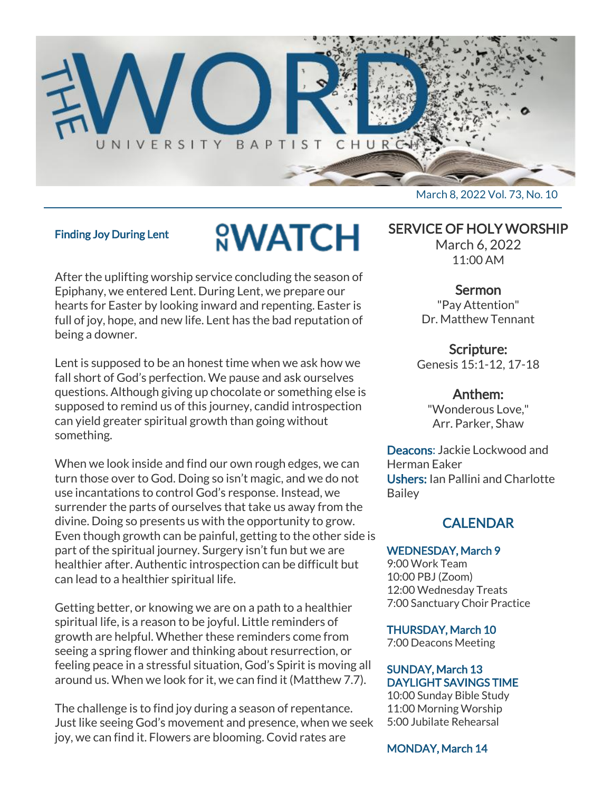

#### Finding Joy During Lent

# **<u>NWATCH</u>**

After the uplifting worship service concluding the season of Epiphany, we entered Lent. During Lent, we prepare our hearts for Easter by looking inward and repenting. Easter is full of joy, hope, and new life. Lent has the bad reputation of being a downer.

Lent is supposed to be an honest time when we ask how we fall short of God's perfection. We pause and ask ourselves questions. Although giving up chocolate or something else is supposed to remind us of this journey, candid introspection can yield greater spiritual growth than going without something.

When we look inside and find our own rough edges, we can turn those over to God. Doing so isn't magic, and we do not use incantations to control God's response. Instead, we surrender the parts of ourselves that take us away from the divine. Doing so presents us with the opportunity to grow. Even though growth can be painful, getting to the other side is part of the spiritual journey. Surgery isn't fun but we are healthier after. Authentic introspection can be difficult but can lead to a healthier spiritual life.

Getting better, or knowing we are on a path to a healthier spiritual life, is a reason to be joyful. Little reminders of growth are helpful. Whether these reminders come from seeing a spring flower and thinking about resurrection, or feeling peace in a stressful situation, God's Spirit is moving all around us. When we look for it, we can find it (Matthew 7.7).

The challenge is to find joy during a season of repentance. Just like seeing God's movement and presence, when we seek joy, we can find it. Flowers are blooming. Covid rates are

SERVICE OF HOLY WORSHIP

March 6, 2022 11:00 AM

#### Sermon

"Pay Attention" Dr. Matthew Tennant

Scripture: Genesis 15:1-12, 17-18

#### Anthem:

"Wonderous Love," Arr. Parker, Shaw

Deacons: Jackie Lockwood and Herman Eaker Ushers: Ian Pallini and Charlotte **Bailey** 

# CALENDAR

#### WEDNESDAY, March 9

9:00 Work Team 10:00 PBJ (Zoom) 12:00 Wednesday Treats 7:00 Sanctuary Choir Practice

THURSDAY, March 10

7:00 Deacons Meeting

### SUNDAY, March 13 DAYLIGHT SAVINGS TIME

10:00 Sunday Bible Study 11:00 Morning Worship 5:00 Jubilate Rehearsal

MONDAY, March 14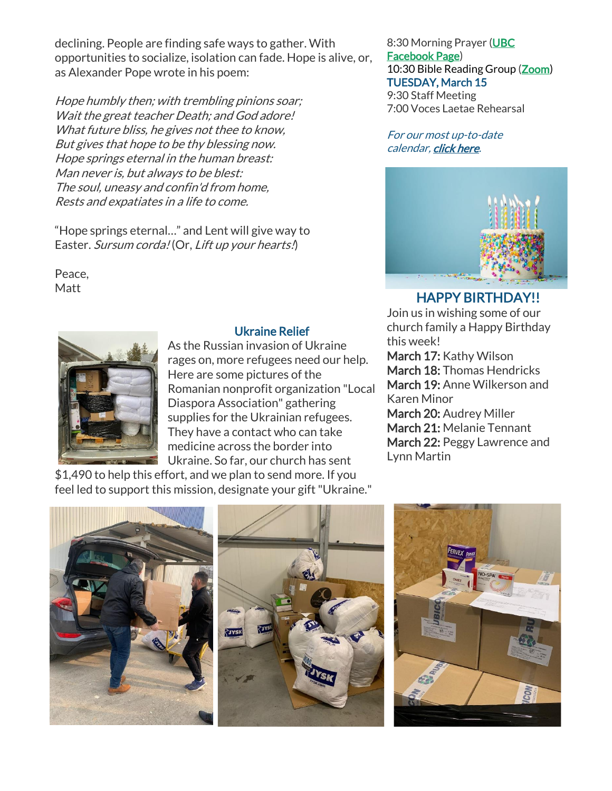declining. People are finding safe ways to gather. With opportunities to socialize, isolation can fade. Hope is alive, or, as Alexander Pope wrote in his poem:

Hope humbly then; with trembling pinions soar; Wait the great teacher Death; and God adore! What future bliss, he gives not thee to know, But gives that hope to be thy blessing now. Hope springs eternal in the human breast: Man never is, but always to be blest: The soul, uneasy and confin'd from home, Rests and expatiates in a life to come.

"Hope springs eternal…" and Lent will give way to Easter. Sursum corda! (Or, Lift up your hearts.)

Peace, **Matt** 

# Ukraine Relief

As the Russian invasion of Ukraine rages on, more refugees need our help. Here are some pictures of the Romanian nonprofit organization "Local Diaspora Association" gathering supplies for the Ukrainian refugees. They have a contact who can take medicine across the border into Ukraine. So far, our church has sent

\$1,490 to help this effort, and we plan to send more. If you feel led to support this mission, designate your gift "Ukraine."

8:30 Morning Prayer [\(UBC](https://www.facebook.com/UniversityBaptistChurchCharlottesville) [Facebook Page\)](https://www.facebook.com/UniversityBaptistChurchCharlottesville) 10:30 Bible Reading Group [\(Zoom\)](https://us02web.zoom.us/j/85381408096?pwd=MzdkVG9JZ2x0M2JFK01KNlNjSWtqUT09) TUESDAY, March 15 9:30 Staff Meeting 7:00 Voces Laetae Rehearsal

For our most up-to-date calendar, [click here.](https://universitybaptist.org/calendar/)



# HAPPY BIRTHDAY!!

Join us in wishing some of our church family a Happy Birthday this week! March 17: Kathy Wilson March 18: Thomas Hendricks March 19: Anne Wilkerson and Karen Minor March 20: Audrey Miller March 21: Melanie Tennant March 22: Peggy Lawrence and Lynn Martin

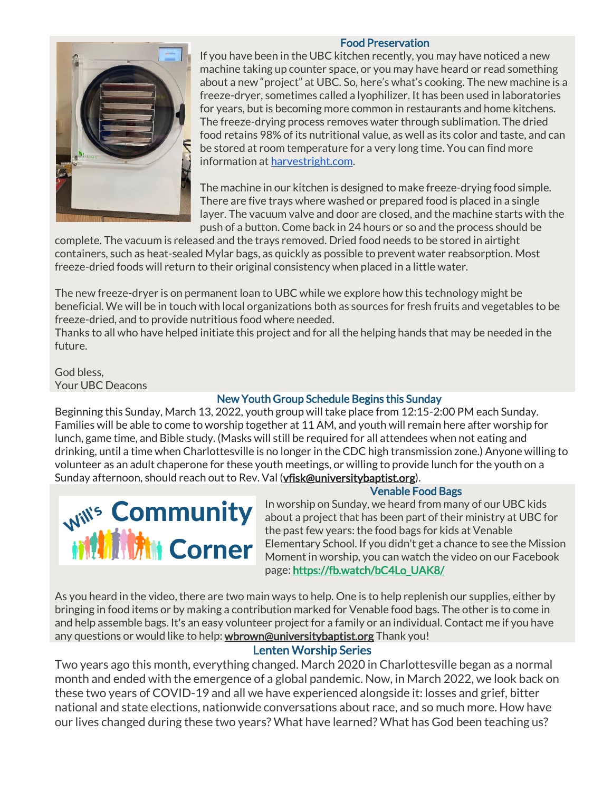#### Food Preservation



If you have been in the UBC kitchen recently, you may have noticed a new machine taking up counter space, or you may have heard or read something about a new "project" at UBC. So, here's what's cooking. The new machine is a freeze-dryer, sometimes called a lyophilizer. It has been used in laboratories for years, but is becoming more common in restaurants and home kitchens. The freeze-drying process removes water through sublimation. The dried food retains 98% of its nutritional value, as well as its color and taste, and can be stored at room temperature for a very long time. You can find more information at [harvestright.com.](http://harvestright.com/)

The machine in our kitchen is designed to make freeze-drying food simple. There are five trays where washed or prepared food is placed in a single layer. The vacuum valve and door are closed, and the machine starts with the push of a button. Come back in 24 hours or so and the process should be

complete. The vacuum is released and the trays removed. Dried food needs to be stored in airtight containers, such as heat-sealed Mylar bags, as quickly as possible to prevent water reabsorption. Most freeze-dried foods will return to their original consistency when placed in a little water.

The new freeze-dryer is on permanent loan to UBC while we explore how this technology might be beneficial. We will be in touch with local organizations both as sources for fresh fruits and vegetables to be freeze-dried, and to provide nutritious food where needed.

Thanks to all who have helped initiate this project and for all the helping hands that may be needed in the future.

God bless, Your UBC Deacons

## New Youth Group Schedule Begins this Sunday

Beginning this Sunday, March 13, 2022, youth group will take place from 12:15-2:00 PM each Sunday. Families will be able to come to worship together at 11 AM, and youth will remain here after worship for lunch, game time, and Bible study. (Masks will still be required for all attendees when not eating and drinking, until a time when Charlottesville is no longer in the CDC high transmission zone.) Anyone willing to volunteer as an adult chaperone for these youth meetings, or willing to provide lunch for the youth on a Sunday afternoon, should reach out to Rev. Val [\(vfisk@universitybaptist.org\)](mailto:vfisk@universitybaptist.org).

### Venable Food Bags



In worship on Sunday, we heard from many of our UBC kids about a project that has been part of their ministry at UBC for the past few years: the food bags for kids at Venable Elementary School. If you didn't get a chance to see the Mission Moment in worship, you can watch the video on our Facebook page: [https://fb.watch/bC4Lo\\_UAK8/](https://fb.watch/bC4Lo_UAK8/)

As you heard in the video, there are two main ways to help. One is to help replenish our supplies, either by bringing in food items or by making a contribution marked for Venable food bags. The other is to come in and help assemble bags. It's an easy volunteer project for a family or an individual. Contact me if you have any questions or would like to help: [wbrown@universitybaptist.org](mailto:wbrown@universitybaptist.org) Thank you!

### Lenten Worship Series

Two years ago this month, everything changed. March 2020 in Charlottesville began as a normal month and ended with the emergence of a global pandemic. Now, in March 2022, we look back on these two years of COVID-19 and all we have experienced alongside it: losses and grief, bitter national and state elections, nationwide conversations about race, and so much more. How have our lives changed during these two years? What have learned? What has God been teaching us?